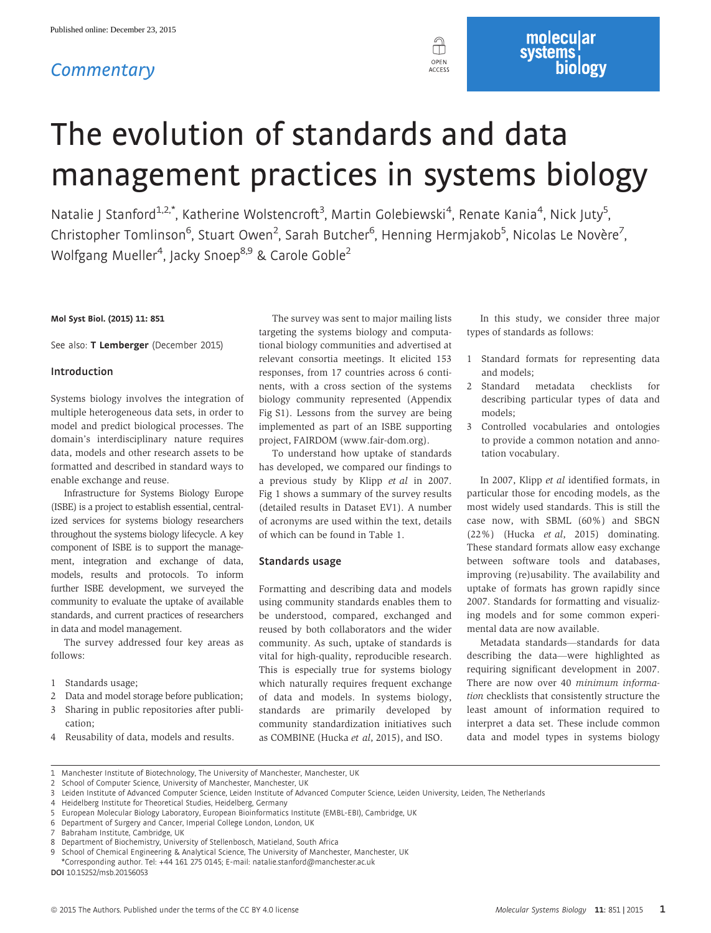# **Commentary**



# The evolution of standards and data management practices in systems biology

Natalie J Stanford<sup>1,2,\*</sup>, Katherine Wolstencroft<sup>3</sup>, Martin Golebiewski<sup>4</sup>, Renate Kania<sup>4</sup>, Nick Juty<sup>5</sup> , Christopher Tomlinson<sup>6</sup>, Stuart Owen<sup>2</sup>, Sarah Butcher<sup>6</sup>, Henning Hermjakob<sup>5</sup>, Nicolas Le Novère<sup>7</sup> , Wolfgang Mueller<sup>4</sup>, Jacky Snoep<sup>8,9</sup> & Carole Goble<sup>2</sup>

# Mol Syst Biol. (2015) 11: 851

See also: [T Lemberger](http://dx.doi.org/10.15252/msb.20156719) (December 2015)

#### Introduction

Systems biology involves the integration of multiple heterogeneous data sets, in order to model and predict biological processes. The domain's interdisciplinary nature requires data, models and other research assets to be formatted and described in standard ways to enable exchange and reuse.

Infrastructure for Systems Biology Europe (ISBE) is a project to establish essential, centralized services for systems biology researchers throughout the systems biology lifecycle. A key component of ISBE is to support the management, integration and exchange of data, models, results and protocols. To inform further ISBE development, we surveyed the community to evaluate the uptake of available standards, and current practices of researchers in data and model management.

The survey addressed four key areas as follows:

- 1 Standards usage;
- 2 Data and model storage before publication;
- 3 Sharing in public repositories after publication;
- 4 Reusability of data, models and results.

The survey was sent to major mailing lists targeting the systems biology and computational biology communities and advertised at relevant consortia meetings. It elicited 153 responses, from 17 countries across 6 continents, with a cross section of the systems biology community represented (Appendix Fig S1). Lessons from the survey are being implemented as part of an ISBE supporting project, FAIRDOM ([www.fair-dom.org](http://www.fair-dom.org)).

To understand how uptake of standards has developed, we compared our findings to a previous study by Klipp et al in 2007. Fig 1 shows a summary of the survey results (detailed results in Dataset EV1). A number of acronyms are used within the text, details of which can be found in Table 1.

# Standards usage

Formatting and describing data and models using community standards enables them to be understood, compared, exchanged and reused by both collaborators and the wider community. As such, uptake of standards is vital for high-quality, reproducible research. This is especially true for systems biology which naturally requires frequent exchange of data and models. In systems biology, standards are primarily developed by community standardization initiatives such as COMBINE (Hucka et al, 2015), and ISO.

In this study, we consider three major types of standards as follows:

molecular<br>systems,

biologv

- 1 Standard formats for representing data and models;
- 2 Standard metadata checklists for describing particular types of data and models;
- 3 Controlled vocabularies and ontologies to provide a common notation and annotation vocabulary.

In 2007, Klipp et al identified formats, in particular those for encoding models, as the most widely used standards. This is still the case now, with SBML (60%) and SBGN (22%) (Hucka et al, 2015) dominating. These standard formats allow easy exchange between software tools and databases, improving (re)usability. The availability and uptake of formats has grown rapidly since 2007. Standards for formatting and visualizing models and for some common experimental data are now available.

Metadata standards—standards for data describing the data—were highlighted as requiring significant development in 2007. There are now over 40 minimum information checklists that consistently structure the least amount of information required to interpret a data set. These include common data and model types in systems biology

DOI 10.15252/msb.20156053

<sup>1</sup> Manchester Institute of Biotechnology, The University of Manchester, Manchester, UK

<sup>2</sup> School of Computer Science, University of Manchester, Manchester, UK

<sup>3</sup> Leiden Institute of Advanced Computer Science, Leiden Institute of Advanced Computer Science, Leiden University, Leiden, The Netherlands

<sup>4</sup> Heidelberg Institute for Theoretical Studies, Heidelberg, Germany

<sup>5</sup> European Molecular Biology Laboratory, European Bioinformatics Institute (EMBL-EBI), Cambridge, UK

<sup>6</sup> Department of Surgery and Cancer, Imperial College London, London, UK

<sup>7</sup> Babraham Institute, Cambridge, UK

<sup>8</sup> Department of Biochemistry, University of Stellenbosch, Matieland, South Africa

<sup>9</sup> School of Chemical Engineering & Analytical Science, The University of Manchester, Manchester, UK

<sup>\*</sup>Corresponding author. Tel: +44 161 275 0145; E-mail: natalie.stanford@manchester.ac.uk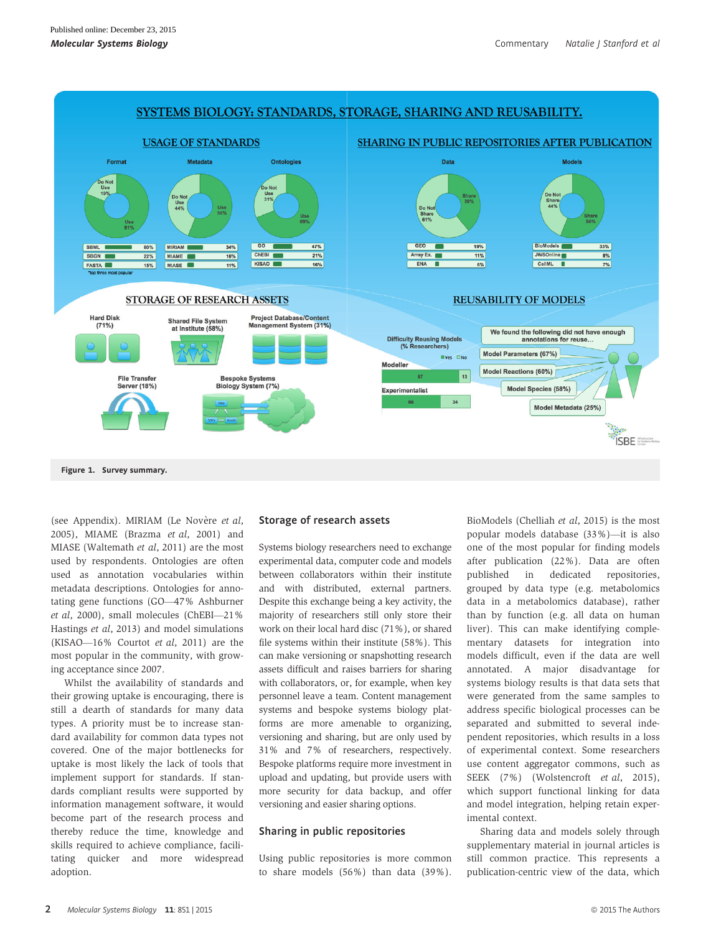

(see Appendix). MIRIAM (Le Novère et al, 2005), MIAME (Brazma et al, 2001) and MIASE (Waltemath et al, 2011) are the most used by respondents. Ontologies are often used as annotation vocabularies within metadata descriptions. Ontologies for annotating gene functions (GO—47% Ashburner et al, 2000), small molecules (ChEBI—21% Hastings et al, 2013) and model simulations (KISAO—16% Courtot et al, 2011) are the

most popular in the community, with grow-

ing acceptance since 2007. Whilst the availability of standards and their growing uptake is encouraging, there is still a dearth of standards for many data types. A priority must be to increase standard availability for common data types not covered. One of the major bottlenecks for uptake is most likely the lack of tools that implement support for standards. If standards compliant results were supported by information management software, it would become part of the research process and thereby reduce the time, knowledge and skills required to achieve compliance, facilitating quicker and more widespread adoption.

# Storage of research assets

Systems biology researchers need to exchange experimental data, computer code and models between collaborators within their institute and with distributed, external partners. Despite this exchange being a key activity, the majority of researchers still only store their work on their local hard disc (71%), or shared file systems within their institute (58%). This can make versioning or snapshotting research assets difficult and raises barriers for sharing with collaborators, or, for example, when key personnel leave a team. Content management systems and bespoke systems biology platforms are more amenable to organizing, versioning and sharing, but are only used by 31% and 7% of researchers, respectively. Bespoke platforms require more investment in upload and updating, but provide users with more security for data backup, and offer versioning and easier sharing options.

# Sharing in public repositories

Using public repositories is more common to share models (56%) than data (39%). BioModels (Chelliah et al, 2015) is the most popular models database (33%)—it is also one of the most popular for finding models after publication (22%). Data are often published in dedicated repositories, grouped by data type (e.g. metabolomics data in a metabolomics database), rather than by function (e.g. all data on human liver). This can make identifying complementary datasets for integration into models difficult, even if the data are well annotated. A major disadvantage for systems biology results is that data sets that were generated from the same samples to address specific biological processes can be separated and submitted to several independent repositories, which results in a loss of experimental context. Some researchers use content aggregator commons, such as SEEK (7%) (Wolstencroft *et al*, 2015), which support functional linking for data and model integration, helping retain experimental context.

Sharing data and models solely through supplementary material in journal articles is still common practice. This represents a publication-centric view of the data, which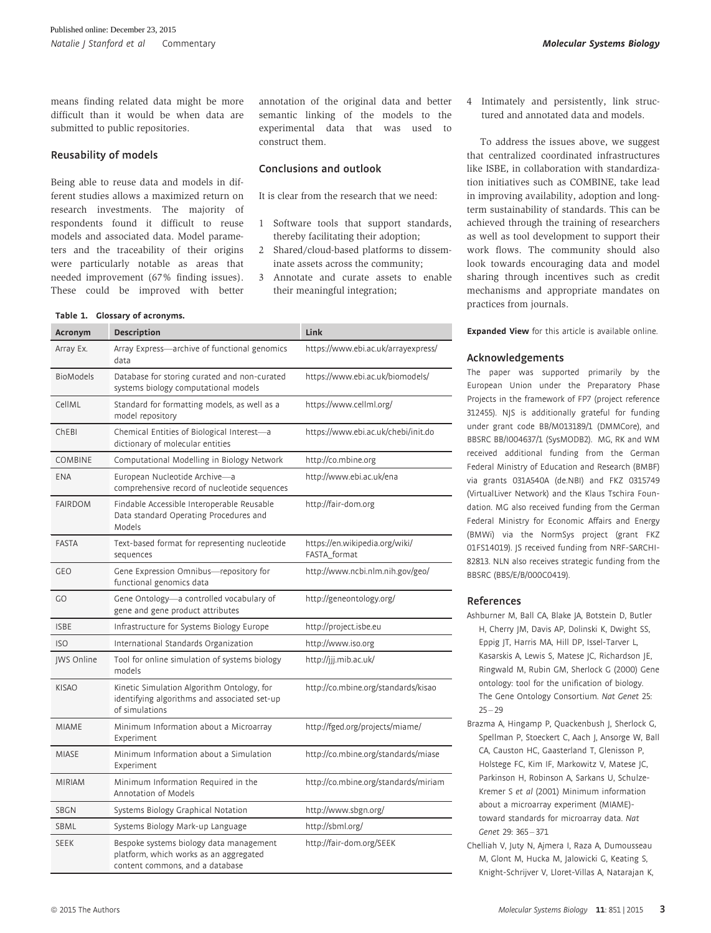means finding related data might be more difficult than it would be when data are submitted to public repositories.

# Reusability of models

Being able to reuse data and models in different studies allows a maximized return on research investments. The majority of respondents found it difficult to reuse models and associated data. Model parameters and the traceability of their origins were particularly notable as areas that needed improvement (67% finding issues). These could be improved with better

#### Table 1. Glossary of acronyms.

annotation of the original data and better semantic linking of the models to the experimental data that was used to construct them.

# Conclusions and outlook

It is clear from the research that we need:

- 1 Software tools that support standards, thereby facilitating their adoption;
- 2 Shared/cloud-based platforms to disseminate assets across the community;
- 3 Annotate and curate assets to enable their meaningful integration;

| Acronym          | <b>Description</b>                                                                                                   | Link                                           |
|------------------|----------------------------------------------------------------------------------------------------------------------|------------------------------------------------|
| Array Ex.        | Array Express-archive of functional genomics<br>data                                                                 | https://www.ebi.ac.uk/arrayexpress/            |
| <b>BioModels</b> | Database for storing curated and non-curated<br>systems biology computational models                                 | https://www.ebi.ac.uk/biomodels/               |
| CellML           | Standard for formatting models, as well as a<br>model repository                                                     | https://www.cellml.org/                        |
| ChEBI            | Chemical Entities of Biological Interest-a<br>dictionary of molecular entities                                       | https://www.ebi.ac.uk/chebi/init.do            |
| <b>COMBINE</b>   | Computational Modelling in Biology Network                                                                           | http://co.mbine.org                            |
| <b>ENA</b>       | European Nucleotide Archive-a<br>comprehensive record of nucleotide sequences                                        | http://www.ebi.ac.uk/ena                       |
| <b>FAIRDOM</b>   | Findable Accessible Interoperable Reusable<br>Data standard Operating Procedures and<br>Models                       | http://fair-dom.org                            |
| <b>FASTA</b>     | Text-based format for representing nucleotide<br>sequences                                                           | https://en.wikipedia.org/wiki/<br>FASTA_format |
| <b>GEO</b>       | Gene Expression Omnibus-repository for<br>functional genomics data                                                   | http://www.ncbi.nlm.nih.gov/geo/               |
| GO               | Gene Ontology-a controlled vocabulary of<br>gene and gene product attributes                                         | http://geneontology.org/                       |
| <b>ISBE</b>      | Infrastructure for Systems Biology Europe                                                                            | http://project.isbe.eu                         |
| <b>ISO</b>       | International Standards Organization                                                                                 | http://www.iso.org                             |
| JWS Online       | Tool for online simulation of systems biology<br>models                                                              | http://jjj.mib.ac.uk/                          |
| <b>KISAO</b>     | Kinetic Simulation Algorithm Ontology, for<br>identifying algorithms and associated set-up<br>of simulations         | http://co.mbine.org/standards/kisao            |
| <b>MIAME</b>     | Minimum Information about a Microarray<br>Experiment                                                                 | http://fged.org/projects/miame/                |
| <b>MIASE</b>     | Minimum Information about a Simulation<br>Experiment                                                                 | http://co.mbine.org/standards/miase            |
| <b>MIRIAM</b>    | Minimum Information Required in the<br>Annotation of Models                                                          | http://co.mbine.org/standards/miriam           |
| SBGN             | Systems Biology Graphical Notation                                                                                   | http://www.sbgn.org/                           |
| SBML             | Systems Biology Mark-up Language                                                                                     | http://sbml.org/                               |
| <b>SEEK</b>      | Bespoke systems biology data management<br>platform, which works as an aggregated<br>content commons, and a database | http://fair-dom.org/SEEK                       |

4 Intimately and persistently, link structured and annotated data and models.

To address the issues above, we suggest that centralized coordinated infrastructures like ISBE, in collaboration with standardization initiatives such as COMBINE, take lead in improving availability, adoption and longterm sustainability of standards. This can be achieved through the training of researchers as well as tool development to support their work flows. The community should also look towards encouraging data and model sharing through incentives such as credit mechanisms and appropriate mandates on practices from journals.

Expanded View for this article is available [online.](https://dx.doi.org/10.15252/msb.20156053)

### Acknowledgements

The paper was supported primarily by the European Union under the Preparatory Phase Projects in the framework of FP7 (project reference 312455). NJS is additionally grateful for funding under grant code BB/M013189/1 (DMMCore), and BBSRC BB/I004637/1 (SysMODB2). MG, RK and WM received additional funding from the German Federal Ministry of Education and Research (BMBF) via grants 031A540A (de.NBI) and FKZ 0315749 (VirtualLiver Network) and the Klaus Tschira Foundation. MG also received funding from the German Federal Ministry for Economic Affairs and Energy (BMWi) via the NormSys project (grant FKZ 01FS14019). JS received funding from NRF-SARCHI-82813. NLN also receives strategic funding from the BBSRC (BBS/E/B/000C0419).

### References

- Ashburner M, Ball CA, Blake JA, Botstein D, Butler H, Cherry JM, Davis AP, Dolinski K, Dwight SS, Eppig JT, Harris MA, Hill DP, Issel-Tarver L, Kasarskis A, Lewis S, Matese JC, Richardson JE, Ringwald M, Rubin GM, Sherlock G (2000) Gene ontology: tool for the unification of biology. The Gene Ontology Consortium. Nat Genet 25:  $25 - 29$
- Brazma A, Hingamp P, Quackenbush J, Sherlock G, Spellman P, Stoeckert C, Aach J, Ansorge W, Ball CA, Causton HC, Gaasterland T, Glenisson P, Holstege FC, Kim IF, Markowitz V, Matese JC, Parkinson H, Robinson A, Sarkans U, Schulze-Kremer S et al (2001) Minimum information about a microarray experiment (MIAME) toward standards for microarray data. Nat Genet 29: 365 – 371
- Chelliah V, Juty N, Ajmera I, Raza A, Dumousseau M, Glont M, Hucka M, Jalowicki G, Keating S, Knight-Schrijver V, Lloret-Villas A, Natarajan K,